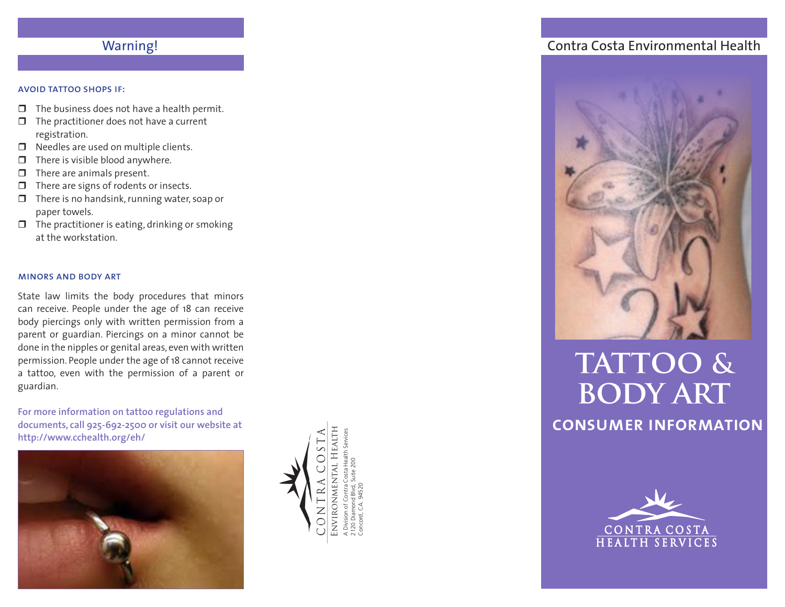## Warning!

#### avoid tattoo shops if:

- $\Box$  The business does not have a health permit.
- $\Box$  The practitioner does not have a current registration.
- $\Box$  Needles are used on multiple clients.
- $\Box$  There is visible blood anywhere.
- $\Box$  There are animals present.
- $\Box$  There are signs of rodents or insects.
- $\Box$  There is no handsink, running water, soap or paper towels.
- $\Box$  The practitioner is eating, drinking or smoking at the workstation.

#### minors and body art

State law limits the body procedures that minors can receive. People under the age of 18 can receive body piercings only with written permission from a parent or guardian. Piercings on a minor cannot be done in the nipples or genital areas, even with written permission. People under the age of 18 cannot receive a tattoo, even with the permission of a parent or guardian.

**For more information on tattoo regulations and documents, call 925-692-2500 or visit our website at <http://www.cchealth.org/eh/>**





Concord, CA. 94520

### Contra Costa Environmental Health



# **tattoo & body art**

**consumer information**